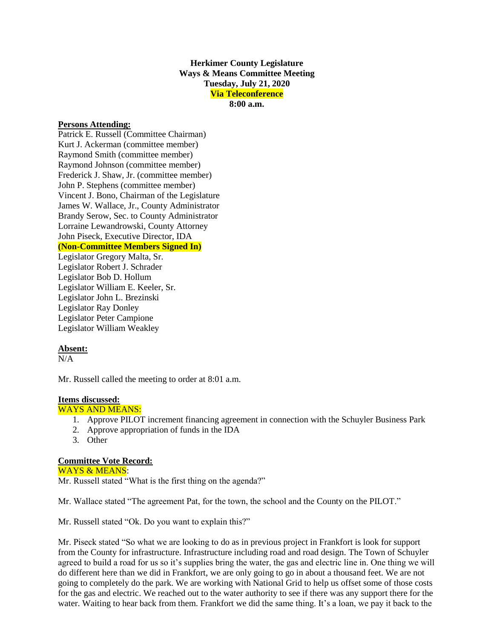**Herkimer County Legislature Ways & Means Committee Meeting Tuesday, July 21, 2020 Via Teleconference 8:00 a.m.**

#### **Persons Attending:**

Patrick E. Russell (Committee Chairman) Kurt J. Ackerman (committee member) Raymond Smith (committee member) Raymond Johnson (committee member) Frederick J. Shaw, Jr. (committee member) John P. Stephens (committee member) Vincent J. Bono, Chairman of the Legislature James W. Wallace, Jr., County Administrator Brandy Serow, Sec. to County Administrator Lorraine Lewandrowski, County Attorney John Piseck, Executive Director, IDA **(Non-Committee Members Signed In)**

Legislator Gregory Malta, Sr. Legislator Robert J. Schrader Legislator Bob D. Hollum Legislator William E. Keeler, Sr. Legislator John L. Brezinski Legislator Ray Donley Legislator Peter Campione Legislator William Weakley

### **Absent:**

 $N/A$ 

Mr. Russell called the meeting to order at 8:01 a.m.

# **Items discussed:**

## WAYS AND MEANS:

- 1. Approve PILOT increment financing agreement in connection with the Schuyler Business Park
- 2. Approve appropriation of funds in the IDA
- 3. Other

### **Committee Vote Record:**

WAYS & MEANS: Mr. Russell stated "What is the first thing on the agenda?"

Mr. Wallace stated "The agreement Pat, for the town, the school and the County on the PILOT."

Mr. Russell stated "Ok. Do you want to explain this?"

Mr. Piseck stated "So what we are looking to do as in previous project in Frankfort is look for support from the County for infrastructure. Infrastructure including road and road design. The Town of Schuyler agreed to build a road for us so it's supplies bring the water, the gas and electric line in. One thing we will do different here than we did in Frankfort, we are only going to go in about a thousand feet. We are not going to completely do the park. We are working with National Grid to help us offset some of those costs for the gas and electric. We reached out to the water authority to see if there was any support there for the water. Waiting to hear back from them. Frankfort we did the same thing. It's a loan, we pay it back to the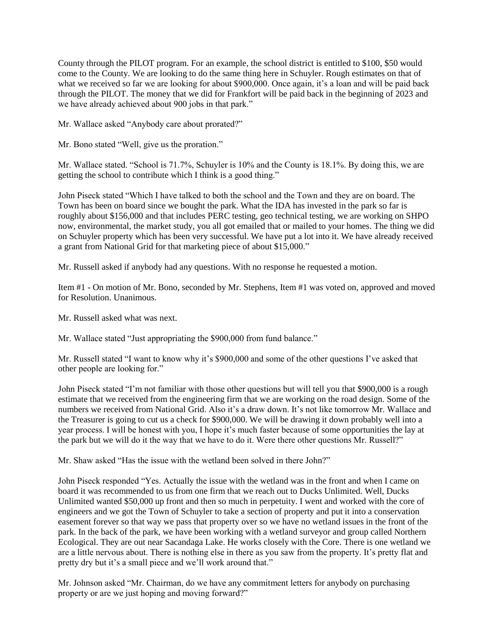County through the PILOT program. For an example, the school district is entitled to \$100, \$50 would come to the County. We are looking to do the same thing here in Schuyler. Rough estimates on that of what we received so far we are looking for about \$900,000. Once again, it's a loan and will be paid back through the PILOT. The money that we did for Frankfort will be paid back in the beginning of 2023 and we have already achieved about 900 jobs in that park."

Mr. Wallace asked "Anybody care about prorated?"

Mr. Bono stated "Well, give us the proration."

Mr. Wallace stated. "School is 71.7%, Schuyler is 10% and the County is 18.1%. By doing this, we are getting the school to contribute which I think is a good thing."

John Piseck stated "Which I have talked to both the school and the Town and they are on board. The Town has been on board since we bought the park. What the IDA has invested in the park so far is roughly about \$156,000 and that includes PERC testing, geo technical testing, we are working on SHPO now, environmental, the market study, you all got emailed that or mailed to your homes. The thing we did on Schuyler property which has been very successful. We have put a lot into it. We have already received a grant from National Grid for that marketing piece of about \$15,000."

Mr. Russell asked if anybody had any questions. With no response he requested a motion.

Item #1 - On motion of Mr. Bono, seconded by Mr. Stephens, Item #1 was voted on, approved and moved for Resolution. Unanimous.

Mr. Russell asked what was next.

Mr. Wallace stated "Just appropriating the \$900,000 from fund balance."

Mr. Russell stated "I want to know why it's \$900,000 and some of the other questions I've asked that other people are looking for."

John Piseck stated "I'm not familiar with those other questions but will tell you that \$900,000 is a rough estimate that we received from the engineering firm that we are working on the road design. Some of the numbers we received from National Grid. Also it's a draw down. It's not like tomorrow Mr. Wallace and the Treasurer is going to cut us a check for \$900,000. We will be drawing it down probably well into a year process. I will be honest with you, I hope it's much faster because of some opportunities the lay at the park but we will do it the way that we have to do it. Were there other questions Mr. Russell?"

Mr. Shaw asked "Has the issue with the wetland been solved in there John?"

John Piseck responded "Yes. Actually the issue with the wetland was in the front and when I came on board it was recommended to us from one firm that we reach out to Ducks Unlimited. Well, Ducks Unlimited wanted \$50,000 up front and then so much in perpetuity. I went and worked with the core of engineers and we got the Town of Schuyler to take a section of property and put it into a conservation easement forever so that way we pass that property over so we have no wetland issues in the front of the park. In the back of the park, we have been working with a wetland surveyor and group called Northern Ecological. They are out near Sacandaga Lake. He works closely with the Core. There is one wetland we are a little nervous about. There is nothing else in there as you saw from the property. It's pretty flat and pretty dry but it's a small piece and we'll work around that."

Mr. Johnson asked "Mr. Chairman, do we have any commitment letters for anybody on purchasing property or are we just hoping and moving forward?"